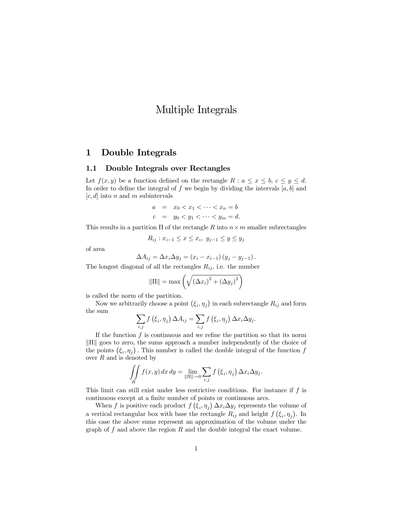# Multiple Integrals

## 1 Double Integrals

#### 1.1 Double Integrals over Rectangles

Let  $f(x, y)$  be a function defined on the rectangle  $R : a \leq x \leq b, c \leq y \leq d$ . In order to define the integral of f we begin by dividing the intervals  $[a, b]$  and  $|c, d|$  into n and m subintervals

$$
a = x_0 < x_1 < \dots < x_n = b
$$
\n
$$
c = y_0 < y_1 < \dots < y_m = d.
$$

This results in a partition  $\Pi$  of the rectangle R into  $n \times m$  smaller subrectangles

$$
R_{ij}: x_{i-1} \le x \le x_i, y_{j-1} \le y \le y_j
$$

of area

$$
\Delta A_{ij} = \Delta x_i \Delta y_j = (x_i - x_{i-1})(y_j - y_{j-1}).
$$

The longest diagonal of all the rectangles  $R_{ij}$ , i.e. the number

$$
\|\Pi\| = \max\left(\sqrt{\left(\Delta x_i\right)^2 + \left(\Delta y_j\right)^2}\right)
$$

is called the norm of the partition.

Now we arbitrarily choose a point  $(\xi_i, \eta_j)$  in each subrectangle  $R_{ij}$  and form the sum

$$
\sum_{i,j} f\left(\xi_i, \eta_j\right) \Delta A_{ij} = \sum_{i,j} f\left(\xi_i, \eta_j\right) \Delta x_i \Delta y_j.
$$

If the function  $f$  is continuous and we refine the partition so that its norm  $\|\Pi\|$  goes to zero, the sums approach a number independently of the choice of the points  $(\xi_i, \eta_j)$ . This number is called the double integral of the function f over  $R$  and is denoted by

$$
\iint\limits_R f(x,y) dx dy = \lim_{\|\Pi\| \to 0} \sum_{i,j} f(\xi_i, \eta_j) \Delta x_i \Delta y_j.
$$

This limit can still exist under less restrictive conditions. For instance if  $f$  is continuous except at a finite number of points or continuous arcs.

When f is positive each product  $f(\xi_i, \eta_j) \Delta x_i \Delta y_j$  represents the volume of a vertical rectangular box with base the rectangle  $R_{ij}$  and height  $f(\xi_i, \eta_j)$ . In this case the above sums represent an approximation of the volume under the graph of  $f$  and above the region  $R$  and the double integral the exact volume.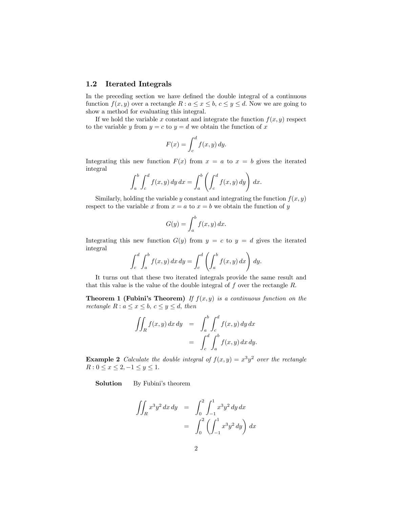#### 1.2 Iterated Integrals

In the preceding section we have defined the double integral of a continuous function  $f(x, y)$  over a rectangle  $R : a \leq x \leq b, c \leq y \leq d$ . Now we are going to show a method for evaluating this integral.

If we hold the variable x constant and integrate the function  $f(x, y)$  respect to the variable y from  $y = c$  to  $y = d$  we obtain the function of x

$$
F(x) = \int_{c}^{d} f(x, y) dy.
$$

Integrating this new function  $F(x)$  from  $x = a$  to  $x = b$  gives the iterated integral

$$
\int_a^b \int_c^d f(x, y) \, dy \, dx = \int_a^b \left( \int_c^d f(x, y) \, dy \right) \, dx.
$$

Similarly, holding the variable y constant and integrating the function  $f(x, y)$ respect to the variable x from  $x = a$  to  $x = b$  we obtain the function of y

$$
G(y) = \int_a^b f(x, y) \, dx.
$$

Integrating this new function  $G(y)$  from  $y = c$  to  $y = d$  gives the iterated integral

$$
\int_c^d \int_a^b f(x, y) \, dx \, dy = \int_c^d \left( \int_a^b f(x, y) \, dx \right) \, dy.
$$

It turns out that these two iterated integrals provide the same result and that this value is the value of the double integral of  $f$  over the rectangle  $R$ .

**Theorem 1 (Fubini's Theorem)** If  $f(x, y)$  is a continuous function on the rectangle  $R: a \leq x \leq b, c \leq y \leq d$ , then

$$
\iint_R f(x, y) dx dy = \int_a^b \int_c^d f(x, y) dy dx
$$

$$
= \int_c^d \int_a^b f(x, y) dx dy.
$$

**Example 2** Calculate the double integral of  $f(x, y) = x^3y^2$  over the rectangle  $R: 0 \le x \le 2, -1 \le y \le 1.$ 

Solution By Fubini's theorem

$$
\iint_{R} x^{3}y^{2} dx dy = \int_{0}^{2} \int_{-1}^{1} x^{3}y^{2} dy dx
$$

$$
= \int_{0}^{2} \left( \int_{-1}^{1} x^{3}y^{2} dy \right) dx
$$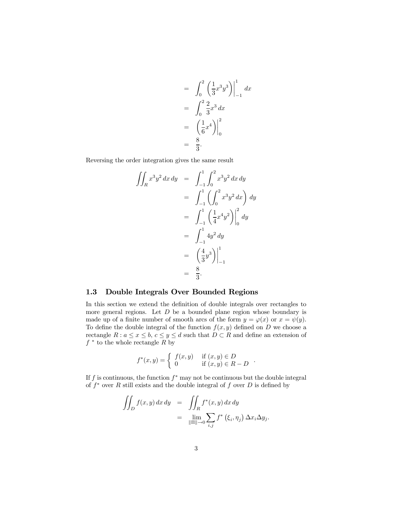$$
= \int_0^2 \left(\frac{1}{3}x^3y^3\right)\Big|_{-1}^1 dx
$$
  
= 
$$
\int_0^2 \frac{2}{3}x^3 dx
$$
  
= 
$$
\left(\frac{1}{6}x^4\right)\Big|_0^2
$$
  
= 
$$
\frac{8}{3}.
$$

Reversing the order integration gives the same result

$$
\iint_{R} x^{3}y^{2} dx dy = \int_{-1}^{1} \int_{0}^{2} x^{3}y^{2} dx dy
$$
  

$$
= \int_{-1}^{1} \left( \int_{0}^{2} x^{3}y^{2} dx \right) dy
$$
  

$$
= \int_{-1}^{1} \left( \frac{1}{4} x^{4}y^{2} \right) \Big|_{0}^{2} dy
$$
  

$$
= \int_{-1}^{1} 4y^{2} dy
$$
  

$$
= \left( \frac{4}{3} y^{3} \right) \Big|_{-1}^{1}
$$
  

$$
= \frac{8}{3}.
$$

### 1.3 Double Integrals Over Bounded Regions

In this section we extend the definition of double integrals over rectangles to more general regions. Let  $D$  be a bounded plane region whose boundary is made up of a finite number of smooth arcs of the form  $y = \varphi(x)$  or  $x = \psi(y)$ . To define the double integral of the function  $f(x, y)$  defined on D we choose a rectangle  $R: a \leq x \leq b, c \leq y \leq d$  such that  $D \subset R$  and define an extension of  $f^*$  to the whole rectangle R by

$$
f^*(x,y) = \begin{cases} f(x,y) & \text{if } (x,y) \in D \\ 0 & \text{if } (x,y) \in R - D \end{cases}.
$$

If f is continuous, the function  $f^*$  may not be continuous but the double integral of  $f^*$  over R still exists and the double integral of f over D is defined by

$$
\iint_D f(x, y) dx dy = \iint_R f^*(x, y) dx dy
$$
  
= 
$$
\lim_{\|\Pi\| \to 0} \sum_{i,j} f^* (\xi_i, \eta_j) \Delta x_i \Delta y_j.
$$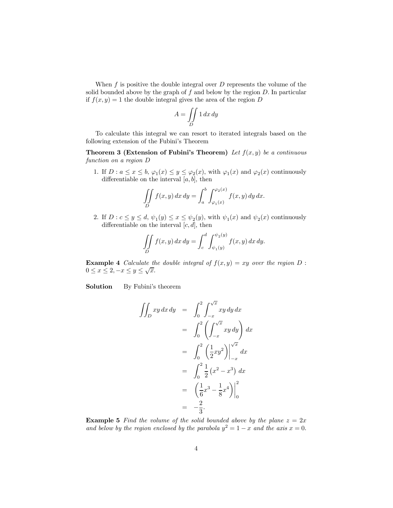When  $f$  is positive the double integral over  $D$  represents the volume of the solid bounded above by the graph of  $f$  and below by the region  $D$ . In particular if  $f(x, y) = 1$  the double integral gives the area of the region D

$$
A = \iint\limits_{D} 1 \, dx \, dy
$$

To calculate this integral we can resort to iterated integrals based on the following extension of the Fubini's Theorem

Theorem 3 (Extension of Fubini's Theorem) Let  $f(x, y)$  be a continuous function on a region D

1. If  $D: a \leq x \leq b$ ,  $\varphi_1(x) \leq y \leq \varphi_2(x)$ , with  $\varphi_1(x)$  and  $\varphi_2(x)$  continuously differentiable on the interval  $[a, b]$ , then

$$
\iint\limits_{D} f(x,y) dx dy = \int_{a}^{b} \int_{\varphi_1(x)}^{\varphi_2(x)} f(x,y) dy dx.
$$

2. If  $D: c \leq y \leq d$ ,  $\psi_1(y) \leq x \leq \psi_2(y)$ , with  $\psi_1(x)$  and  $\psi_2(x)$  continuously differentiable on the interval  $[c, d]$ , then

$$
\iint\limits_{D} f(x,y) dx dy = \int_{c}^{d} \int_{\psi_1(y)}^{\psi_2(y)} f(x,y) dx dy.
$$

**Example 4** Calculate the double integral of  $f(x, y) = xy$  over the region D:  $0 \leq x \leq 2, -x \leq y \leq \sqrt{x}.$ 

Solution By Fubini's theorem

$$
\iint_D xy \, dx \, dy = \int_0^2 \int_{-x}^{\sqrt{x}} xy \, dy \, dx \n= \int_0^2 \left( \int_{-x}^{\sqrt{x}} xy \, dy \right) dx \n= \int_0^2 \left( \frac{1}{2}xy^2 \right) \Big|_{-x}^{\sqrt{x}} dx \n= \int_0^2 \frac{1}{2} (x^2 - x^3) \, dx \n= \left( \frac{1}{6}x^3 - \frac{1}{8}x^4 \right) \Big|_0^2 \n= -\frac{2}{3}.
$$

**Example 5** Find the volume of the solid bounded above by the plane  $z = 2x$ and below by the region enclosed by the parabola  $y^2 = 1 - x$  and the axis  $x = 0$ .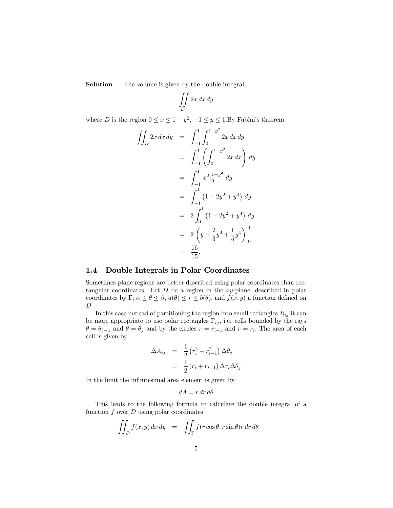Solution The volume is given by the double integral

$$
\iint\limits_D 2x\,dx\,dy
$$

where D is the region  $0 \le x \le 1 - y^2$ ,  $-1 \le y \le 1$ . By Fubini's theorem

$$
\iint_D 2x \, dx \, dy = \int_{-1}^1 \int_0^{1-y^2} 2x \, dx \, dy
$$
  
= 
$$
\int_{-1}^1 \left( \int_0^{1-y^2} 2x \, dx \right) \, dy
$$
  
= 
$$
\int_{-1}^1 x^2 \Big|_0^{1-y^2} \, dy
$$
  
= 
$$
\int_{-1}^1 (1 - 2y^2 + y^4) \, dy
$$
  
= 
$$
2 \int_0^1 (1 - 2y^2 + y^4) \, dy
$$
  
= 
$$
2 \left( y - \frac{2}{3}y^3 + \frac{1}{5}y^4 \right) \Big|_0^1
$$
  
= 
$$
\frac{16}{15}.
$$

#### 1.4 Double Integrals in Polar Coordinates

Sometimes plane regions are better described using polar coordinates than rectangular coordinates. Let  $D$  be a region in the xy-plane, described in polar coordinates by Γ;  $\alpha \le \theta \le \beta$ ,  $a(\theta) \le r \le b(\theta)$ , and  $f(x, y)$  a function defined on D

In this case instead of partitioning the region into small rectangles  $R_{ij}$  it can be more appropriate to use polar rectangles  $\Gamma_{ij}$ , i.e. cells bounded by the rays  $\theta = \theta_{j-1}$  and  $\theta = \theta_j$  and by the circles  $r = r_{i-1}$  and  $r = r_i$ . The area of each cell is given by

$$
\Delta A_{ij} = \frac{1}{2} (r_i^2 - r_{i-1}^2) \Delta \theta_j
$$

$$
= \frac{1}{2} (r_i + r_{i-1}) \Delta r_i \Delta \theta_j
$$

In the limit the infinitesimal area element is given by

$$
dA = r dr d\theta
$$

This leads to the following formula to calculate the double integral of a function  $f$  over  $D$  using polar coordinates

$$
\iint_D f(x, y) dx dy = \iint_{\Gamma} f(r \cos \theta, r \sin \theta) r dr d\theta
$$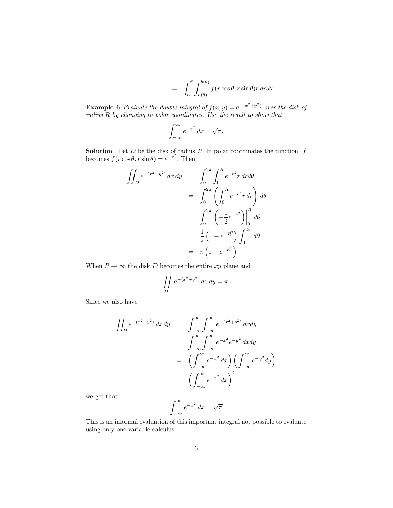$$
= \int_{\alpha}^{\beta} \int_{a(\theta)}^{b(\theta)} f(r \cos \theta, r \sin \theta) r dr d\theta.
$$

**Example 6** Evaluate the double integral of  $f(x, y) = e^{-(x^2+y^2)}$  over the disk of radius R by changing to polar coordinates. Use the result to show that

$$
\int_{-\infty}^{\infty} e^{-x^2} \, dx = \sqrt{\pi}.
$$

**Solution** Let D be the disk of radius R. In polar coordinates the function  $f$ becomes  $f(r \cos \theta, r \sin \theta) = e^{-r^2}$ . Then,

$$
\iint_D e^{-(x^2+y^2)} dx dy = \int_0^{2\pi} \int_0^R e^{-r^2} r dr d\theta
$$
  
= 
$$
\int_0^{2\pi} \left( \int_0^R e^{-r^2} r dr \right) d\theta
$$
  
= 
$$
\int_0^{2\pi} \left( -\frac{1}{2} e^{-r^2} \right) \Big|_0^R d\theta
$$
  
= 
$$
\frac{1}{2} \left( 1 - e^{-R^2} \right) \int_0^{2\pi} d\theta
$$
  
= 
$$
\pi \left( 1 - e^{-R^2} \right)
$$

When  $R \to \infty$  the disk D becomes the entire xy plane and

$$
\iint\limits_{D} e^{-(x^2+y^2)} dx dy = \pi.
$$

Since we also have

$$
\iint_D e^{-(x^2+y^2)} dx dy = \int_{-\infty}^{\infty} \int_{-\infty}^{\infty} e^{-(x^2+y^2)} dx dy
$$

$$
= \int_{-\infty}^{\infty} \int_{-\infty}^{\infty} e^{-x^2} e^{-y^2} dx dy
$$

$$
= \left( \int_{-\infty}^{\infty} e^{-x^2} dx \right) \left( \int_{-\infty}^{\infty} e^{-y^2} dy \right)
$$

$$
= \left( \int_{-\infty}^{\infty} e^{-x^2} dx \right)^2
$$

we get that

$$
\int_{-\infty}^{\infty} e^{-x^2} \, dx = \sqrt{\pi}
$$

This is an informal evaluation of this important integral not possible to evaluate using only one variable calculus.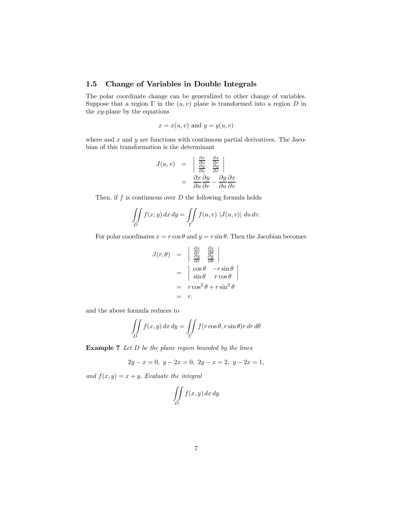### 1.5 Change of Variables in Double Integrals

The polar coordinate change can be generalized to other change of variables. Suppose that a region  $\Gamma$  in the  $(u, v)$  plane is transformed into a region  $D$  in the xy-plane by the equations

$$
x = x(u, v)
$$
 and  $y = y(u, v)$ 

where and  $x$  and  $y$  are functions with continuous partial derivatives. The Jacobian of this transformation is the determinant

$$
J(u, v) = \begin{vmatrix} \frac{\partial x}{\partial u} & \frac{\partial x}{\partial v} \\ \frac{\partial y}{\partial u} & \frac{\partial y}{\partial v} \end{vmatrix}
$$
  
= 
$$
\frac{\partial x}{\partial u} \frac{\partial y}{\partial v} - \frac{\partial y}{\partial u} \frac{\partial x}{\partial v}
$$

Then, if  $f$  is continuous over  $D$  the following formula holds

$$
\iint\limits_{D} f(x, y) dx dy = \iint\limits_{\Gamma} f(u, v) |J(u, v)| du dv.
$$

For polar coordinates  $x = r \cos \theta$  and  $y = r \sin \theta$ . Then the Jacobian becomes

$$
J(r,\theta) = \begin{vmatrix} \frac{\partial x}{\partial r} & \frac{\partial x}{\partial \theta} \\ \frac{\partial y}{\partial r} & \frac{\partial y}{\partial \theta} \end{vmatrix}
$$
  
= 
$$
\begin{vmatrix} \cos \theta & -r \sin \theta \\ \sin \theta & r \cos \theta \end{vmatrix}
$$
  
= 
$$
\begin{vmatrix} r \cos^2 \theta + r \sin^2 \theta \end{vmatrix}
$$
  
= 
$$
r.
$$

and the above formula reduces to

$$
\iint\limits_{D} f(x, y) dx dy = \iint\limits_{\Gamma} f(r \cos \theta, r \sin \theta) r dr d\theta
$$

**Example 7** Let  $D$  be the plane region bounded by the lines

$$
2y - x = 0, \ y - 2x = 0, \ 2y - x = 2, \ y - 2x = 1,
$$

and  $f(x, y) = x + y$ . Evaluate the integral

$$
\iint\limits_{D} f(x,y) \, dx \, dy
$$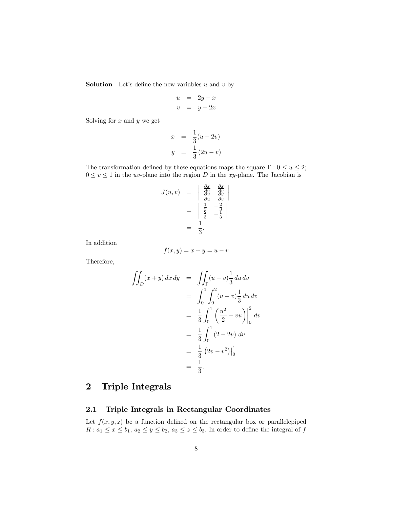**Solution** Let's define the new variables  $u$  and  $v$  by

$$
\begin{array}{rcl}\nu &=& 2y - x \\
v &=& y - 2x\n\end{array}
$$

Solving for  $x$  and  $y$  we get

$$
x = \frac{1}{3}(u - 2v)
$$
  

$$
y = \frac{1}{3}(2u - v)
$$

The transformation defined by these equations maps the square  $\Gamma: 0 \le u \le 2$ ;  $0\leq v\leq 1$  in the  $uv\text{-plane}$  into the region  $D$  in the  $xy\text{-plane}.$  The Jacobian is

$$
J(u, v) = \begin{vmatrix} \frac{\partial x}{\partial u} & \frac{\partial x}{\partial v} \\ \frac{\partial y}{\partial u} & \frac{\partial y}{\partial v} \end{vmatrix}
$$
  
= 
$$
\begin{vmatrix} \frac{1}{3} & -\frac{2}{3} \\ \frac{2}{3} & -\frac{1}{3} \end{vmatrix}
$$
  
= 
$$
\frac{1}{3}.
$$

In addition

$$
f(x, y) = x + y = u - v
$$

Therefore,

$$
\iint_D (x+y) \, dx \, dy = \iint_{\Gamma} (u-v) \frac{1}{3} \, du \, dv
$$
  
=  $\int_0^1 \int_0^2 (u-v) \frac{1}{3} \, du \, dv$   
=  $\frac{1}{3} \int_0^1 \left( \frac{u^2}{2} - vu \right) \Big|_0^2 \, dv$   
=  $\frac{1}{3} \int_0^1 (2 - 2v) \, dv$   
=  $\frac{1}{3} (2v - v^2) \Big|_0^1$   
=  $\frac{1}{3}.$ 

# 2 Triple Integrals

### 2.1 Triple Integrals in Rectangular Coordinates

Let  $f(x, y, z)$  be a function defined on the rectangular box or parallelepiped  $R: a_1 \leq x \leq b_1, a_2 \leq y \leq b_2, a_3 \leq z \leq b_3$ . In order to define the integral of  $f$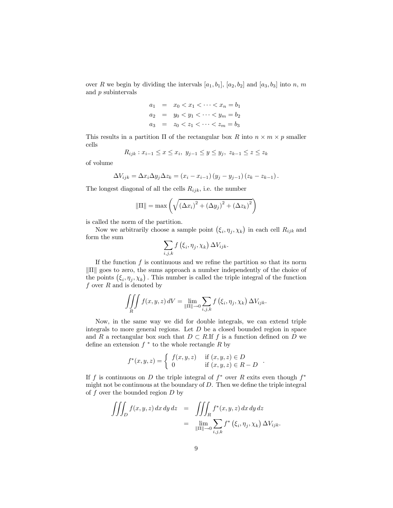over R we begin by dividing the intervals  $[a_1, b_1]$ ,  $[a_2, b_2]$  and  $[a_3, b_3]$  into n, m and p subintervals

$$
a_1 = x_0 < x_1 < \dots < x_n = b_1
$$
\n
$$
a_2 = y_0 < y_1 < \dots < y_m = b_2
$$
\n
$$
a_3 = z_0 < z_1 < \dots < z_m = b_3
$$

This results in a partition  $\Pi$  of the rectangular box R into  $n \times m \times p$  smaller cells

$$
R_{ijk} : x_{i-1} \le x \le x_i, \ y_{j-1} \le y \le y_j, \ z_{k-1} \le z \le z_k
$$

of volume

$$
\Delta V_{ijk} = \Delta x_i \Delta y_j \Delta z_k = (x_i - x_{i-1})(y_j - y_{j-1})(z_k - z_{k-1}).
$$

The longest diagonal of all the cells  $R_{ijk}$ , i.e. the number

$$
\|\Pi\| = \max\left(\sqrt{\left(\Delta x_i\right)^2 + \left(\Delta y_j\right)^2 + \left(\Delta z_k\right)^2}\right)
$$

is called the norm of the partition.

Now we arbitrarily choose a sample point  $(\xi_i, \eta_j, \chi_k)$  in each cell  $R_{ijk}$  and form the sum

$$
\sum_{i,j,k} f\left(\xi_i, \eta_j, \chi_k\right) \Delta V_{ijk}.
$$

If the function  $f$  is continuous and we refine the partition so that its norm  $\Vert \Pi \Vert$  goes to zero, the sums approach a number independently of the choice of the points  $(\xi_i, \eta_j, \chi_k)$ . This number is called the triple integral of the function f over  $R$  and is denoted by

$$
\iiint\limits_R f(x, y, z) dV = \lim_{\|\Pi\| \to 0} \sum_{i, j, k} f(\xi_i, \eta_j, \chi_k) \Delta V_{ijk}.
$$

Now, in the same way we did for double integrals, we can extend triple integrals to more general regions. Let  $D$  be a closed bounded region in space and R a rectangular box such that  $D \subset R$ . If f is a function defined on D we define an extension  $f *$  to the whole rectangle R by

$$
f^*(x, y, z) = \begin{cases} f(x, y, z) & \text{if } (x, y, z) \in D \\ 0 & \text{if } (x, y, z) \in R - D \end{cases}
$$

If f is continuous on D the triple integral of  $f^*$  over R exits even though  $f^*$ might not be continuous at the boundary of  $D$ . Then we define the triple integral of  $f$  over the bounded region  $D$  by

$$
\iiint_D f(x, y, z) dx dy dz = \iiint_R f^*(x, y, z) dx dy dz
$$
  
= 
$$
\lim_{\|\Pi\| \to 0} \sum_{i,j,k} f^*(\xi_i, \eta_j, \chi_k) \Delta V_{ijk}.
$$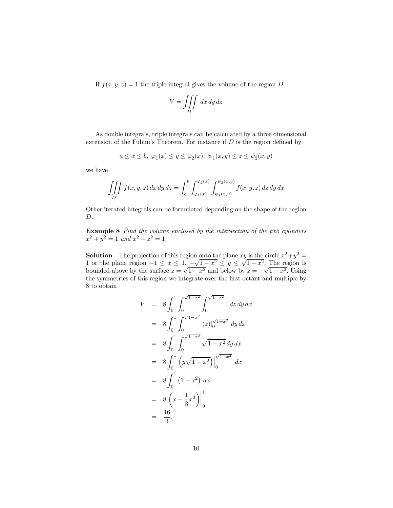If  $f(x, y, z) = 1$  the triple integral gives the volume of the region D

$$
V = \iiint\limits_{D} dx\,dy\,dz
$$

As double integrals, triple integrals can be calculated by a three dimensional extension of the Fubini's Theorem. For instance if  $D$  is the region defined by

$$
a \le x \le b, \ \varphi_1(x) \le y \le \varphi_2(x), \ \psi_1(x, y) \le z \le \psi_2(x, y)
$$

we have

$$
\iiint\limits_{D} f(x, y, z) dx dy dz = \int_{a}^{b} \int_{\varphi_{1}(x)}^{\varphi_{2}(x)} \int_{\psi_{1}(x, y)}^{\psi_{2}(x, y)} f(x, y, z) dz dy dx
$$

Other iterated integrals can be formulated depending on the shape of the region D.

**Example 8** Find the volume enclosed by the intersection of the two cylinders  $x^2 + y^2 = 1$  and  $x^2 + z^2 = 1$ 

**Solution** The projection of this region onto the plane xy is the circle  $x^2 + y^2 =$ 1 or the plane region  $-1 \le x \le 1$ ,  $-\sqrt{1-x^2} \le y \le \sqrt{1-x^2}$ . The region is bounded above by the surface  $z = \sqrt{1-x^2}$  and below by  $z = -\sqrt{1-x^2}$ . Using the symmetries of this region we integrate over the first octant and multiple by 8 to obtain

$$
V = 8 \int_0^1 \int_0^{\sqrt{1-x^2}} \int_0^{\sqrt{1-x^2}} 1 dz dy dx
$$
  
\n
$$
= 8 \int_0^1 \int_0^{\sqrt{1-x^2}} (z)|_0^{\sqrt{1-x^2}} dy dx
$$
  
\n
$$
= 8 \int_0^1 \int_0^{\sqrt{1-x^2}} \sqrt{1-x^2} dy dx
$$
  
\n
$$
= 8 \int_0^1 (y\sqrt{1-x^2}) \Big|_0^{\sqrt{1-x^2}} dx
$$
  
\n
$$
= 8 \int_0^1 (1-x^2) dx
$$
  
\n
$$
= 8 (x - \frac{1}{3}x^3) \Big|_0^1
$$
  
\n
$$
= \frac{16}{3}.
$$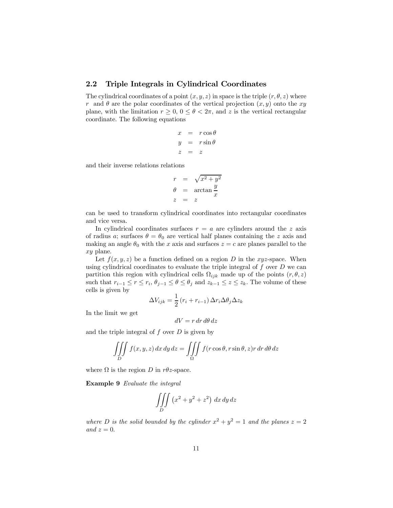### 2.2 Triple Integrals in Cylindrical Coordinates

The cylindrical coordinates of a point  $(x, y, z)$  in space is the triple  $(r, \theta, z)$  where r and  $\theta$  are the polar coordinates of the vertical projection  $(x, y)$  onto the xy plane, with the limitation  $r \geq 0$ ,  $0 \leq \theta < 2\pi$ , and z is the vertical rectangular coordinate. The following equations

$$
\begin{array}{rcl}\nx &=& r \cos \theta \\
y &=& r \sin \theta \\
z &=& z\n\end{array}
$$

and their inverse relations relations

$$
r = \sqrt{x^2 + y^2}
$$
  
\n
$$
\theta = \arctan \frac{y}{x}
$$
  
\n
$$
z = z
$$

can be used to transform cylindrical coordinates into rectangular coordinates and vice versa.

In cylindrical coordinates surfaces  $r = a$  are cylinders around the z axis of radius a; surfaces  $\theta = \theta_0$  are vertical half planes containing the z axis and making an angle  $\theta_0$  with the x axis and surfaces  $z = c$  are planes parallel to the xy plane.

Let  $f(x, y, z)$  be a function defined on a region D in the xyz-space. When using cylindrical coordinates to evaluate the triple integral of  $f$  over  $D$  we can partition this region with cylindrical cells  $\Omega_{ijk}$  made up of the points  $(r, \theta, z)$ such that  $r_{i-1} \leq r \leq r_i$ ,  $\theta_{j-1} \leq \theta \leq \theta_j$  and  $z_{k-1} \leq z \leq z_k$ . The volume of these cells is given by

$$
\Delta V_{ijk} = \frac{1}{2} (r_i + r_{i-1}) \Delta r_i \Delta \theta_j \Delta z_k
$$

In the limit we get

$$
dV=r\,dr\,d\theta\,dz
$$

and the triple integral of  $f$  over  $D$  is given by

$$
\iiint\limits_{D} f(x, y, z) dx dy dz = \iiint\limits_{\Omega} f(r \cos \theta, r \sin \theta, z) r dr d\theta dz
$$

where  $\Omega$  is the region D in r $\theta$ z-space.

Example 9 Evaluate the integral

$$
\iiint\limits_{D} \left( x^2 + y^2 + z^2 \right) \, dx \, dy \, dz
$$

where D is the solid bounded by the cylinder  $x^2 + y^2 = 1$  and the planes  $z = 2$ and  $z = 0$ .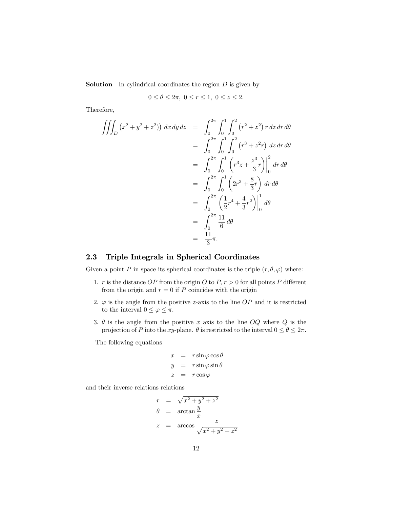**Solution** In cylindrical coordinates the region  $D$  is given by

$$
0 \le \theta \le 2\pi, \ 0 \le r \le 1, \ 0 \le z \le 2.
$$

Therefore,

$$
\iiint_D (x^2 + y^2 + z^2) \, dx \, dy \, dz = \int_0^{2\pi} \int_0^1 \int_0^2 (r^2 + z^2) \, r \, dz \, dr \, d\theta
$$
  
= 
$$
\int_0^{2\pi} \int_0^1 \int_0^2 (r^3 + z^2 r) \, dz \, dr \, d\theta
$$
  
= 
$$
\int_0^{2\pi} \int_0^1 (r^3 z + \frac{z^3}{3} r) \Big|_0^2 \, dr \, d\theta
$$
  
= 
$$
\int_0^{2\pi} \int_0^1 (2r^3 + \frac{8}{3}r) \, dr \, d\theta
$$
  
= 
$$
\int_0^{2\pi} \left(\frac{1}{2}r^4 + \frac{4}{3}r^2\right) \Big|_0^1 \, d\theta
$$
  
= 
$$
\int_0^{2\pi} \frac{11}{6} \, d\theta
$$
  
= 
$$
\frac{11}{3} \pi.
$$

#### 2.3 Triple Integrals in Spherical Coordinates

Given a point P in space its spherical coordinates is the triple  $(r, \theta, \varphi)$  where:

- 1. r is the distance OP from the origin O to  $P, r > 0$  for all points P different from the origin and  $r = 0$  if P coincides with the origin
- 2.  $\varphi$  is the angle from the positive z-axis to the line OP and it is restricted to the interval  $0 \leq \varphi \leq \pi$ .
- 3.  $\theta$  is the angle from the positive x axis to the line OQ where Q is the projection of P into the xy-plane.  $\theta$  is restricted to the interval  $0 \le \theta \le 2\pi$ .

The following equations

$$
x = r \sin \varphi \cos \theta
$$
  

$$
y = r \sin \varphi \sin \theta
$$
  

$$
z = r \cos \varphi
$$

and their inverse relations relations

$$
r = \sqrt{x^2 + y^2 + z^2}
$$
  
\n
$$
\theta = \arctan \frac{y}{x}
$$
  
\n
$$
z = \arccos \frac{z}{\sqrt{x^2 + y^2 + z^2}}
$$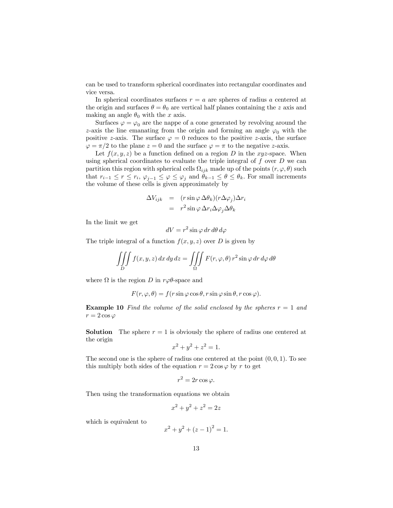can be used to transform spherical coordinates into rectangular coordinates and vice versa.

In spherical coordinates surfaces  $r = a$  are spheres of radius a centered at the origin and surfaces  $\theta = \theta_0$  are vertical half planes containing the z axis and making an angle  $\theta_0$  with the x axis.

Surfaces  $\varphi = \varphi_0$  are the nappe of a cone generated by revolving around the z-axis the line emanating from the origin and forming an angle  $\varphi_0$  with the positive z-axis. The surface  $\varphi = 0$  reduces to the positive z-axis, the surface  $\varphi = \pi/2$  to the plane  $z = 0$  and the surface  $\varphi = \pi$  to the negative z-axis.

Let  $f(x, y, z)$  be a function defined on a region D in the xyz-space. When using spherical coordinates to evaluate the triple integral of  $f$  over  $D$  we can partition this region with spherical cells  $\Omega_{ijk}$  made up of the points  $(r, \varphi, \theta)$  such that  $r_{i-1} \leq r \leq r_i$ ,  $\varphi_{i-1} \leq \varphi \leq \varphi_i$  and  $\theta_{k-1} \leq \theta \leq \theta_k$ . For small increments the volume of these cells is given approximately by

$$
\Delta V_{ijk} = (r \sin \varphi \, \Delta \theta_k)(r \Delta \varphi_j) \Delta r_i
$$

$$
= r^2 \sin \varphi \, \Delta r_i \Delta \varphi_j \Delta \theta_k
$$

In the limit we get

$$
dV = r^2 \sin \varphi \, dr \, d\theta \, d\varphi
$$

The triple integral of a function  $f(x, y, z)$  over D is given by

$$
\iiint\limits_{D} f(x, y, z) dx dy dz = \iiint\limits_{\Omega} F(r, \varphi, \theta) r^{2} \sin \varphi dr d\varphi d\theta
$$

where  $\Omega$  is the region D in  $r\varphi\theta$ -space and

$$
F(r, \varphi, \theta) = f(r \sin \varphi \cos \theta, r \sin \varphi \sin \theta, r \cos \varphi).
$$

**Example 10** Find the volume of the solid enclosed by the spheres  $r = 1$  and  $r = 2\cos\varphi$ 

**Solution** The sphere  $r = 1$  is obviously the sphere of radius one centered at the origin

$$
x^2 + y^2 + z^2 = 1.
$$

The second one is the sphere of radius one centered at the point  $(0, 0, 1)$ . To see this multiply both sides of the equation  $r = 2 \cos \varphi$  by r to get

$$
r^2 = 2r\cos\varphi.
$$

Then using the transformation equations we obtain

$$
x^2 + y^2 + z^2 = 2z
$$

which is equivalent to

$$
x^2 + y^2 + (z - 1)^2 = 1.
$$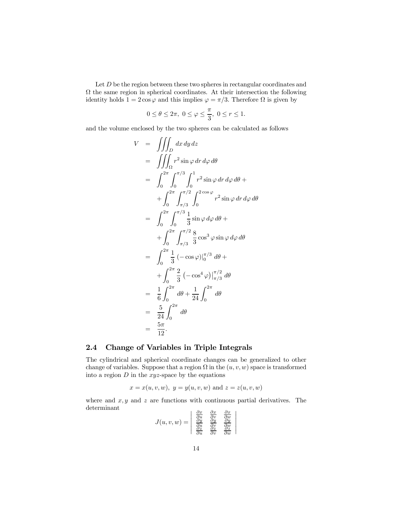Let  $D$  be the region between these two spheres in rectangular coordinates and  $\Omega$  the same region in spherical coordinates. At their intersection the following identity holds  $1 = 2 \cos \varphi$  and this implies  $\varphi = \pi/3$ . Therefore  $\Omega$  is given by

$$
0\leq \theta\leq 2\pi,\,\, 0\leq \varphi\leq \frac{\pi}{3},\,\, 0\leq r\leq 1.
$$

and the volume enclosed by the two spheres can be calculated as follows

$$
V = \iiint_D dx \, dy \, dz
$$
  
\n
$$
= \iiint_{\Omega} r^2 \sin \varphi \, dr \, d\varphi \, d\theta
$$
  
\n
$$
= \int_0^{2\pi} \int_0^{\pi/3} \int_0^1 r^2 \sin \varphi \, dr \, d\varphi \, d\theta +
$$
  
\n
$$
+ \int_0^{2\pi} \int_{\pi/3}^{\pi/2} \int_0^{2 \cos \varphi} r^2 \sin \varphi \, dr \, d\varphi \, d\theta
$$
  
\n
$$
= \int_0^{2\pi} \int_0^{\pi/3} \frac{1}{3} \sin \varphi \, d\varphi \, d\theta +
$$
  
\n
$$
+ \int_0^{2\pi} \int_{\pi/3}^{\pi/2} \frac{8}{3} \cos^3 \varphi \sin \varphi \, d\varphi \, d\theta
$$
  
\n
$$
= \int_0^{2\pi} \frac{1}{3} \left( -\cos \varphi \right) \Big|_0^{\pi/3} \, d\theta +
$$
  
\n
$$
+ \int_0^{2\pi} \frac{2}{3} \left( -\cos^4 \varphi \right) \Big|_{\pi/3}^{\pi/2} \, d\theta
$$
  
\n
$$
= \frac{1}{6} \int_0^{2\pi} d\theta + \frac{1}{24} \int_0^{2\pi} d\theta
$$
  
\n
$$
= \frac{5}{24} \int_0^{2\pi} d\theta
$$
  
\n
$$
= \frac{5\pi}{12}.
$$

### 2.4 Change of Variables in Triple Integrals

The cylindrical and spherical coordinate changes can be generalized to other change of variables. Suppose that a region  $\Omega$  in the  $(u, v, w)$  space is transformed into a region  $D$  in the xyz-space by the equations

$$
x = x(u, v, w), y = y(u, v, w)
$$
 and  $z = z(u, v, w)$ 

where and  $x, y$  and  $z$  are functions with continuous partial derivatives. The determinant ¯

 $\ddagger$  $\ddagger$  $\mathbf{\mathbf{I}}$  $\mathbf{\mathbf{I}}$  $\begin{array}{c} \end{array}$ 

$$
J(u,v,w) = \begin{vmatrix} \frac{\partial x}{\partial u} & \frac{\partial x}{\partial v} & \frac{\partial x}{\partial w} \\ \frac{\partial y}{\partial u} & \frac{\partial y}{\partial v} & \frac{\partial y}{\partial w} \\ \frac{\partial z}{\partial u} & \frac{\partial z}{\partial v} & \frac{\partial z}{\partial w} \end{vmatrix}
$$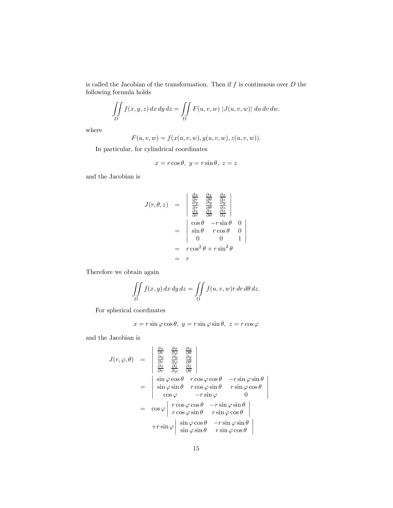is called the Jacobian of the transformation. Then if  $f$  is continuous over  $D$  the following formula holds

$$
\iint\limits_{D} f(x, y, z) dx dy dz = \iint\limits_{\Omega} F(u, v, w) |J(u, v, w)| du dv dw.
$$

where

$$
F(u, v, w) = f(x(u, v, w), y(u, v, w), z(u, v, w)).
$$

In particular, for cylindrical coordinates

$$
x = r\cos\theta, \ y = r\sin\theta, \ z = z
$$

and the Jacobian is

$$
J(r, \theta, z) = \begin{vmatrix} \frac{\partial x}{\partial r} & \frac{\partial x}{\partial \theta} & \frac{\partial x}{\partial z} \\ \frac{\partial y}{\partial r} & \frac{\partial y}{\partial \theta} & \frac{\partial y}{\partial z} \\ \frac{\partial z}{\partial r} & \frac{\partial z}{\partial \theta} & \frac{\partial z}{\partial z} \end{vmatrix}
$$
  
= 
$$
\begin{vmatrix} \cos \theta & -r \sin \theta & 0 \\ \sin \theta & r \cos \theta & 0 \\ 0 & 0 & 1 \end{vmatrix}
$$
  
= 
$$
r \cos^2 \theta + r \sin^2 \theta
$$
  
= 
$$
r
$$

Therefore we obtain again

$$
\iint\limits_{D} f(x, y) dx dy dz = \iint\limits_{\Omega} f(u, v, w)r dr d\theta dz.
$$

For spherical coordinates

$$
x = r\sin\varphi\cos\theta, \ y = r\sin\varphi\sin\theta, \ z = r\cos\varphi
$$

and the Jacobian is

$$
J(r, \varphi, \theta) = \begin{vmatrix} \frac{\partial x}{\partial r} & \frac{\partial x}{\partial \varphi} & \frac{\partial x}{\partial \theta} \\ \frac{\partial y}{\partial r} & \frac{\partial y}{\partial \varphi} & \frac{\partial y}{\partial \theta} \\ \frac{\partial z}{\partial r} & \frac{\partial z}{\partial \varphi} & \frac{\partial z}{\partial \theta} \end{vmatrix}
$$
  
= 
$$
\begin{vmatrix} \sin \varphi \cos \theta & r \cos \varphi \cos \theta & -r \sin \varphi \sin \theta \\ \sin \varphi \sin \theta & r \cos \varphi \sin \theta & r \sin \varphi \cos \theta \\ \cos \varphi & -r \sin \varphi & 0 \end{vmatrix}
$$
  
= 
$$
\begin{vmatrix} \cos \varphi & \cos \theta & -r \sin \varphi \sin \theta \\ r \cos \varphi \sin \theta & r \sin \varphi \cos \theta \end{vmatrix}
$$
  
+ 
$$
r \sin \varphi \begin{vmatrix} \sin \varphi \cos \theta & -r \sin \varphi \sin \theta \\ \sin \varphi \sin \theta & r \sin \varphi \cos \theta \end{vmatrix}
$$